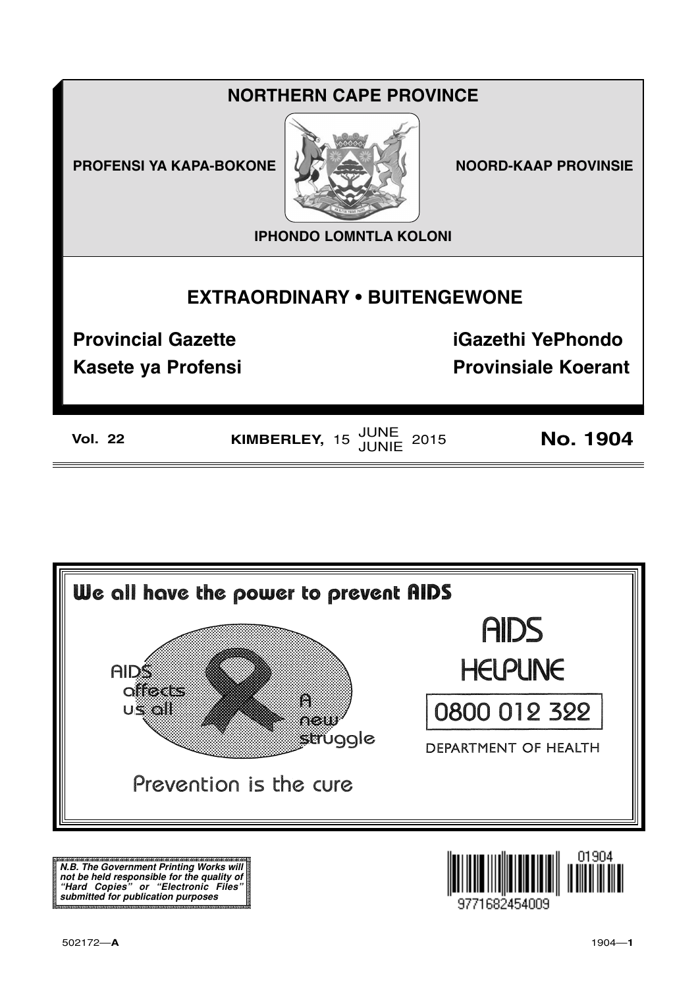## **NORTHERN CAPE PROVINCE**

**PROFENSI YA KAPA-BOKONE** 



**NOORD-KAAP PROVINSIE** 

**IPHONDO LOMNTLA KOLONI** 

## **EXTRAORDINARY . BUITENGEWONE**

**Provincial Gazette** 

**Kasete ya Profensi** 

**iGazethi YePhondo Provinsiale Koerant** 

**Vol. 22** 

KIMBERLEY, 15 JUNE 2015

**No. 1904** 



N.B. The Government Printing Works will iv.b. The Government Printing works will<br>not be held responsible for the quality of<br>"Hard" Copies" or "Electronic Files"<br>submitted for publication purposes

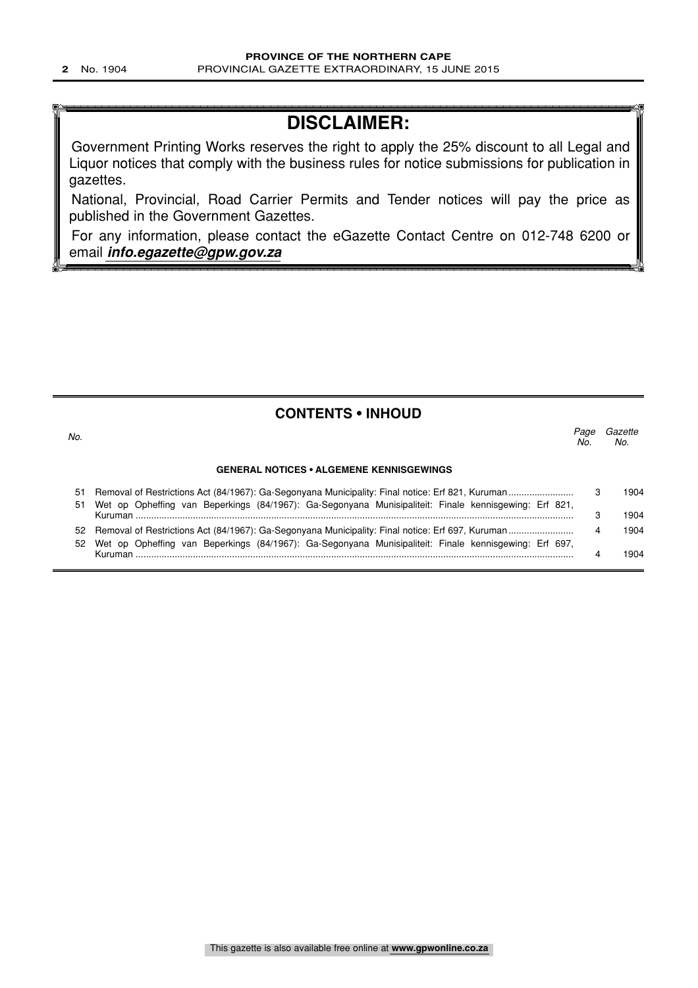## **DISCLAIMER:**

Government Printing Works reserves the right to apply the 25% discount to all Legal and Liquor notices that comply with the business rules for notice submissions for publication in gazettes.

National, Provincial, Road Carrier Permits and Tender notices will pay the price as published in the Government Gazettes.

For any information, please contact the eGazette Contact Centre on 012-748 6200 or email **info.egazette@gpw.gov.za**

#### **CONTENTS • INHOUD**

| No.      |                                                                                                       | Page<br>No. | Gazette<br>No. |
|----------|-------------------------------------------------------------------------------------------------------|-------------|----------------|
|          | <b>GENERAL NOTICES • ALGEMENE KENNISGEWINGS</b>                                                       |             |                |
| 51<br>51 | Wet op Opheffing van Beperkings (84/1967): Ga-Segonyana Munisipaliteit: Finale kennisgewing: Erf 821, |             | 1904           |
|          | Kuruman                                                                                               |             | 1904           |
| 52       | Wet op Opheffing van Beperkings (84/1967): Ga-Segonyana Munisipaliteit: Finale kennisgewing: Erf 697, | 4           | 1904           |
|          |                                                                                                       |             | 904            |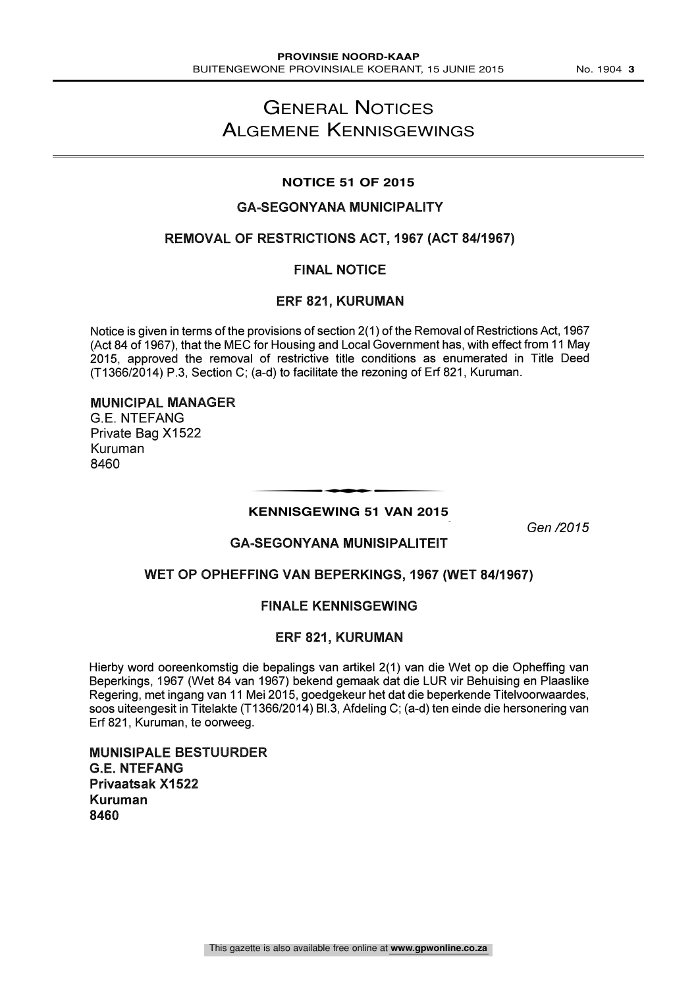## GENERAL NOTICES ALGEMENE KENNISGEWINGS

#### **NOTICE 51 OF 2015**

#### **GA-SEGONYANA MUNICIPALITY**

#### REMOVAL OF RESTRICTIONS ACT, 1967 (ACT 84/1967)

#### FINAL NOTICE

#### ERF 821, KURUMAN

Notice is given in terms of the provisions of section 2(1) of the Removal of Restrictions Act, 1967 (Act 84 of 1967), that the MEC for Housing and Local Government has, with effect from 11 May 2015, approved the removal of restrictive title conditions as enumerated in Title Deed (T1366/2014) P.3, Section C; (a -d) to facilitate the rezoning of Erf 821, Kuruman.

#### MUNICIPAL MANAGER

G.E. NTEFANG Private Bag X1522 Kuruman 8460

# **KENNISGEWING 51 VAN 2015** t

Gen /2015

#### **GA-SEGONYANA MUNISIPALITEIT**

#### WET OP OPHEFFING VAN BEPERKINGS, 1967 (WET 84/1967)

#### FINALE KENNISGEWING

#### ERF 821, KURUMAN

Hierby word ooreenkomstig die bepalings van artikel 2(1) van die Wet op die Opheffing van Beperkings, 1967 (Wet 84 van 1967) bekend gemaak dat die LUR vir Behuising en Plaaslike Regering, met ingang van 11 Mei 2015, goedgekeur het dat die beperkende Titelvoorwaardes, soos uiteengesit in Titelakte (T1366/2014) Bl.3, Afdeling C; (a -d) ten einde die hersonering van Erf 821, Kuruman, te oorweeg.

MUNISIPALE BESTUURDER G.E. NTEFANG Privaatsak X1522 Kuruman 8460